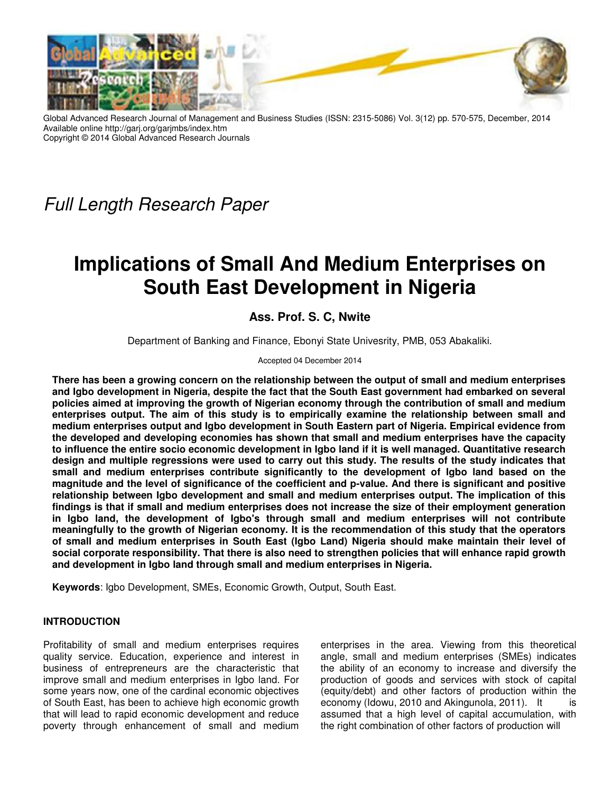

Advanced Research Journal of Management and Business Studies (ISSN: 2315-5086) Vol. 3(12) pp. 570-575, December, 2014 Available online http://garj.org/garjmbs/index.htm Copyright © 2014 Global Advanced Research Journals

*Full Length Research Paper*

# **Implications of Small And Medium Enterprises on South East Development in Nigeria**

# **Ass. Prof. S. C, Nwite**

Department of Banking and Finance, Ebonyi State Univesrity, PMB, 053 Abakaliki.

Accepted 04 December 2014

**There has been a growing concern on the relationship between the output of small and medium enterprises and Igbo development in Nigeria, despite the fact that the South East government had embarked on several policies aimed at improving the growth of Nigerian economy through the contribution of small and medium enterprises output. The aim of this study is to empirically examine the relationship between small and medium enterprises output and Igbo development in South Eastern part of Nigeria. Empirical evidence from the developed and developing economies has shown that small and medium enterprises have the capacity to influence the entire socio economic development in Igbo land if it is well managed. Quantitative research design and multiple regressions were used to carry out this study. The results of the study indicates that small and medium enterprises contribute significantly to the development of Igbo land based on the magnitude and the level of significance of the coefficient and p-value. And there is significant and positive relationship between Igbo development and small and medium enterprises output. The implication of this findings is that if small and medium enterprises does not increase the size of their employment generation in Igbo land, the development of Igbo's through small and medium enterprises will not contribute meaningfully to the growth of Nigerian economy. It is the recommendation of this study that the operators of small and medium enterprises in South East (Igbo Land) Nigeria should make maintain their level of social corporate responsibility. That there is also need to strengthen policies that will enhance rapid growth and development in Igbo land through small and medium enterprises in Nigeria.** 

**Keywords**: Igbo Development, SMEs, Economic Growth, Output, South East.

## **INTRODUCTION**

Profitability of small and medium enterprises requires quality service. Education, experience and interest in business of entrepreneurs are the characteristic that improve small and medium enterprises in Igbo land. For some years now, one of the cardinal economic objectives of South East, has been to achieve high economic growth that will lead to rapid economic development and reduce poverty through enhancement of small and medium

enterprises in the area. Viewing from this theoretical angle, small and medium enterprises (SMEs) indicates the ability of an economy to increase and diversify the production of goods and services with stock of capital (equity/debt) and other factors of production within the economy (Idowu, 2010 and Akingunola, 2011). It is assumed that a high level of capital accumulation, with the right combination of other factors of production will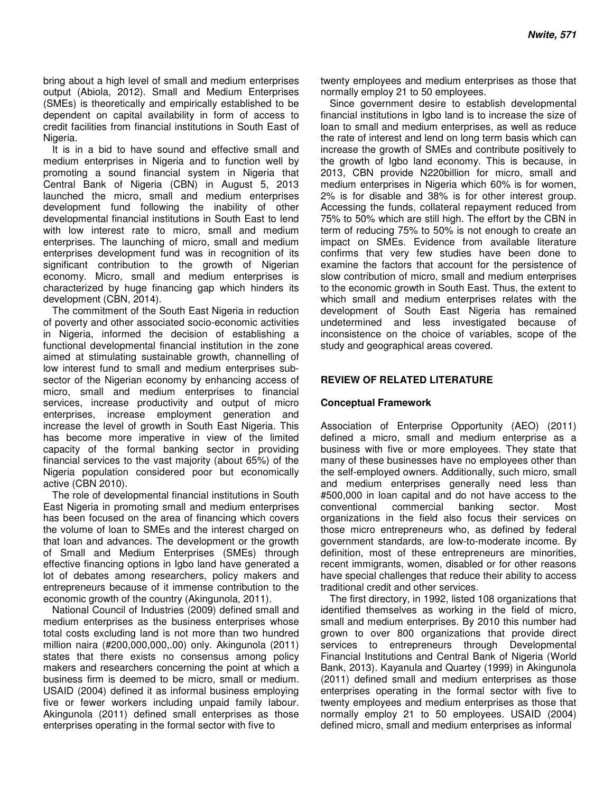bring about a high level of small and medium enterprises output (Abiola, 2012). Small and Medium Enterprises (SMEs) is theoretically and empirically established to be dependent on capital availability in form of access to credit facilities from financial institutions in South East of Nigeria.

It is in a bid to have sound and effective small and medium enterprises in Nigeria and to function well by promoting a sound financial system in Nigeria that Central Bank of Nigeria (CBN) in August 5, 2013 launched the micro, small and medium enterprises development fund following the inability of other developmental financial institutions in South East to lend with low interest rate to micro, small and medium enterprises. The launching of micro, small and medium enterprises development fund was in recognition of its significant contribution to the growth of Nigerian economy. Micro, small and medium enterprises is characterized by huge financing gap which hinders its development (CBN, 2014).

The commitment of the South East Nigeria in reduction of poverty and other associated socio-economic activities in Nigeria, informed the decision of establishing a functional developmental financial institution in the zone aimed at stimulating sustainable growth, channelling of low interest fund to small and medium enterprises subsector of the Nigerian economy by enhancing access of micro, small and medium enterprises to financial services, increase productivity and output of micro enterprises, increase employment generation and increase the level of growth in South East Nigeria. This has become more imperative in view of the limited capacity of the formal banking sector in providing financial services to the vast majority (about 65%) of the Nigeria population considered poor but economically active (CBN 2010).

The role of developmental financial institutions in South East Nigeria in promoting small and medium enterprises has been focused on the area of financing which covers the volume of loan to SMEs and the interest charged on that loan and advances. The development or the growth of Small and Medium Enterprises (SMEs) through effective financing options in Igbo land have generated a lot of debates among researchers, policy makers and entrepreneurs because of it immense contribution to the economic growth of the country (Akingunola, 2011).

National Council of Industries (2009) defined small and medium enterprises as the business enterprises whose total costs excluding land is not more than two hundred million naira (#200,000,000,.00) only. Akingunola (2011) states that there exists no consensus among policy makers and researchers concerning the point at which a business firm is deemed to be micro, small or medium. USAID (2004) defined it as informal business employing five or fewer workers including unpaid family labour. Akingunola (2011) defined small enterprises as those enterprises operating in the formal sector with five to

twenty employees and medium enterprises as those that normally employ 21 to 50 employees.

Since government desire to establish developmental financial institutions in Igbo land is to increase the size of loan to small and medium enterprises, as well as reduce the rate of interest and lend on long term basis which can increase the growth of SMEs and contribute positively to the growth of Igbo land economy. This is because, in 2013, CBN provide N220billion for micro, small and medium enterprises in Nigeria which 60% is for women, 2% is for disable and 38% is for other interest group. Accessing the funds, collateral repayment reduced from 75% to 50% which are still high. The effort by the CBN in term of reducing 75% to 50% is not enough to create an impact on SMEs. Evidence from available literature confirms that very few studies have been done to examine the factors that account for the persistence of slow contribution of micro, small and medium enterprises to the economic growth in South East. Thus, the extent to which small and medium enterprises relates with the development of South East Nigeria has remained undetermined and less investigated because of inconsistence on the choice of variables, scope of the study and geographical areas covered.

### **REVIEW OF RELATED LITERATURE**

#### **Conceptual Framework**

Association of Enterprise Opportunity (AEO) (2011) defined a micro, small and medium enterprise as a business with five or more employees. They state that many of these businesses have no employees other than the self-employed owners. Additionally, such micro, small and medium enterprises generally need less than #500,000 in loan capital and do not have access to the conventional commercial banking sector. Most organizations in the field also focus their services on those micro entrepreneurs who, as defined by federal government standards, are low-to-moderate income. By definition, most of these entrepreneurs are minorities, recent immigrants, women, disabled or for other reasons have special challenges that reduce their ability to access traditional credit and other services.

The first directory, in 1992, listed 108 organizations that identified themselves as working in the field of micro, small and medium enterprises. By 2010 this number had grown to over 800 organizations that provide direct services to entrepreneurs through Developmental Financial Institutions and Central Bank of Nigeria (World Bank, 2013). Kayanula and Quartey (1999) in Akingunola (2011) defined small and medium enterprises as those enterprises operating in the formal sector with five to twenty employees and medium enterprises as those that normally employ 21 to 50 employees. USAID (2004) defined micro, small and medium enterprises as informal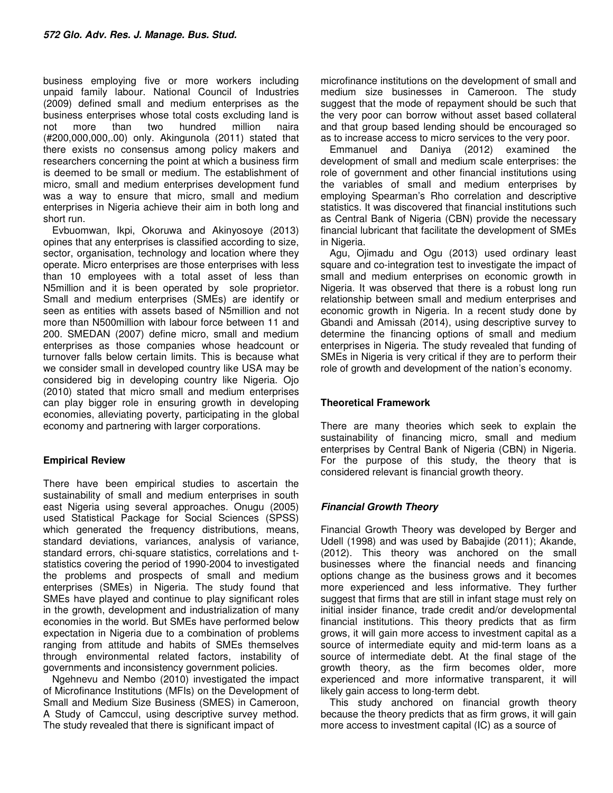business employing five or more workers including unpaid family labour. National Council of Industries (2009) defined small and medium enterprises as the business enterprises whose total costs excluding land is not more than two hundred million naira (#200,000,000,.00) only. Akingunola (2011) stated that there exists no consensus among policy makers and researchers concerning the point at which a business firm is deemed to be small or medium. The establishment of micro, small and medium enterprises development fund was a way to ensure that micro, small and medium enterprises in Nigeria achieve their aim in both long and short run.

Evbuomwan, Ikpi, Okoruwa and Akinyosoye (2013) opines that any enterprises is classified according to size, sector, organisation, technology and location where they operate. Micro enterprises are those enterprises with less than 10 employees with a total asset of less than N5million and it is been operated by sole proprietor. Small and medium enterprises (SMEs) are identify or seen as entities with assets based of N5million and not more than N500million with labour force between 11 and 200. SMEDAN (2007) define micro, small and medium enterprises as those companies whose headcount or turnover falls below certain limits. This is because what we consider small in developed country like USA may be considered big in developing country like Nigeria. Ojo (2010) stated that micro small and medium enterprises can play bigger role in ensuring growth in developing economies, alleviating poverty, participating in the global economy and partnering with larger corporations.

## **Empirical Review**

There have been empirical studies to ascertain the sustainability of small and medium enterprises in south east Nigeria using several approaches. Onugu (2005) used Statistical Package for Social Sciences (SPSS) which generated the frequency distributions, means, standard deviations, variances, analysis of variance, standard errors, chi-square statistics, correlations and tstatistics covering the period of 1990-2004 to investigated the problems and prospects of small and medium enterprises (SMEs) in Nigeria. The study found that SMEs have played and continue to play significant roles in the growth, development and industrialization of many economies in the world. But SMEs have performed below expectation in Nigeria due to a combination of problems ranging from attitude and habits of SMEs themselves through environmental related factors, instability of governments and inconsistency government policies.

Ngehnevu and Nembo (2010) investigated the impact of Microfinance Institutions (MFIs) on the Development of Small and Medium Size Business (SMES) in Cameroon, A Study of Camccul, using descriptive survey method. The study revealed that there is significant impact of

microfinance institutions on the development of small and medium size businesses in Cameroon. The study suggest that the mode of repayment should be such that the very poor can borrow without asset based collateral and that group based lending should be encouraged so as to increase access to micro services to the very poor.

Emmanuel and Daniya (2012) examined the development of small and medium scale enterprises: the role of government and other financial institutions using the variables of small and medium enterprises by employing Spearman's Rho correlation and descriptive statistics. It was discovered that financial institutions such as Central Bank of Nigeria (CBN) provide the necessary financial lubricant that facilitate the development of SMEs in Nigeria.

Agu, Ojimadu and Ogu (2013) used ordinary least square and co-integration test to investigate the impact of small and medium enterprises on economic growth in Nigeria. It was observed that there is a robust long run relationship between small and medium enterprises and economic growth in Nigeria. In a recent study done by Gbandi and Amissah (2014), using descriptive survey to determine the financing options of small and medium enterprises in Nigeria. The study revealed that funding of SMEs in Nigeria is very critical if they are to perform their role of growth and development of the nation's economy.

# **Theoretical Framework**

There are many theories which seek to explain the sustainability of financing micro, small and medium enterprises by Central Bank of Nigeria (CBN) in Nigeria. For the purpose of this study, the theory that is considered relevant is financial growth theory.

# **Financial Growth Theory**

Financial Growth Theory was developed by Berger and Udell (1998) and was used by Babajide (2011); Akande, (2012). This theory was anchored on the small businesses where the financial needs and financing options change as the business grows and it becomes more experienced and less informative. They further suggest that firms that are still in infant stage must rely on initial insider finance, trade credit and/or developmental financial institutions. This theory predicts that as firm grows, it will gain more access to investment capital as a source of intermediate equity and mid-term loans as a source of intermediate debt. At the final stage of the growth theory, as the firm becomes older, more experienced and more informative transparent, it will likely gain access to long-term debt.

This study anchored on financial growth theory because the theory predicts that as firm grows, it will gain more access to investment capital (IC) as a source of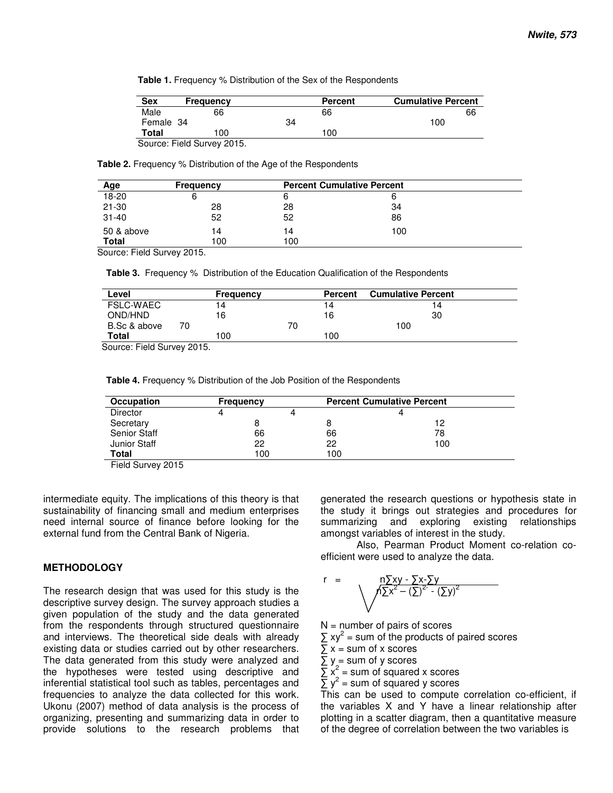|  |  | <b>Table 1.</b> Frequency % Distribution of the Sex of the Respondents |
|--|--|------------------------------------------------------------------------|
|  |  |                                                                        |

| <b>Sex</b> | Frequency                  |    | <b>Percent</b> | <b>Cumulative Percent</b> |
|------------|----------------------------|----|----------------|---------------------------|
| Male       | 66                         |    | 66             | 66                        |
| Female 34  |                            | 34 |                | 100                       |
| Total      | 100                        |    | 100            |                           |
|            | Source: Field Survey 2015. |    |                |                           |

**Table 2.** Frequency % Distribution of the Age of the Respondents

| Age        | Frequency |     | <b>Percent Cumulative Percent</b> |  |
|------------|-----------|-----|-----------------------------------|--|
| 18-20      |           |     |                                   |  |
| $21 - 30$  | 28        | 28  | 34                                |  |
| $31 - 40$  | 52        | 52  | 86                                |  |
| 50 & above | 14        | 14  | 100                               |  |
| Total      | 100       | 100 |                                   |  |

Source: Field Survey 2015.

**Table 3.** Frequency % Distribution of the Education Qualification of the Respondents

| Level            |    | <b>Frequency</b> |    | <b>Percent</b> | <b>Cumulative Percent</b> |
|------------------|----|------------------|----|----------------|---------------------------|
| <b>FSLC-WAEC</b> |    | 4                |    | 14             | 14                        |
| OND/HND          |    | 6                |    | 16             | 30                        |
| B.Sc & above     | 70 |                  | 70 |                | 100                       |
| Total            |    | 00               |    | 100            |                           |

Source: Field Survey 2015.

**Table 4.** Frequency % Distribution of the Job Position of the Respondents

| Occupation          | <b>Frequency</b> |     | <b>Percent Cumulative Percent</b> |  |
|---------------------|------------------|-----|-----------------------------------|--|
| <b>Director</b>     |                  |     |                                   |  |
| Secretary           |                  |     | 12                                |  |
| <b>Senior Staff</b> | 66               | 66  | 78                                |  |
| <b>Junior Staff</b> | 22               | 22  | 100                               |  |
| Total               | 100              | 100 |                                   |  |

Field Survey 2015

intermediate equity. The implications of this theory is that sustainability of financing small and medium enterprises need internal source of finance before looking for the external fund from the Central Bank of Nigeria.

#### **METHODOLOGY**

The research design that was used for this study is the descriptive survey design. The survey approach studies a given population of the study and the data generated from the respondents through structured questionnaire and interviews. The theoretical side deals with already existing data or studies carried out by other researchers. The data generated from this study were analyzed and the hypotheses were tested using descriptive and inferential statistical tool such as tables, percentages and frequencies to analyze the data collected for this work. Ukonu (2007) method of data analysis is the process of organizing, presenting and summarizing data in order to provide solutions to the research problems that generated the research questions or hypothesis state in the study it brings out strategies and procedures for summarizing and exploring existing relationships amongst variables of interest in the study.

 Also, Pearman Product Moment co-relation coefficient were used to analyze the data.

$$
r = \sqrt{\frac{n\sum xy - \sum x - \sum y}{n\sum x^2 - (\sum)^2 - (\sum y)^2}}
$$

 $N =$  number of pairs of scores

 $\sum xy^2$  = sum of the products of paired scores

 $\sum x = \text{sum of } x$  scores

$$
\Sigma y = \text{sum of } y \text{ scores}
$$

 $\sum x_i^2$  = sum of squared x scores

 $\sum y^2$  = sum of squared y scores

This can be used to compute correlation co-efficient, if the variables X and Y have a linear relationship after plotting in a scatter diagram, then a quantitative measure of the degree of correlation between the two variables is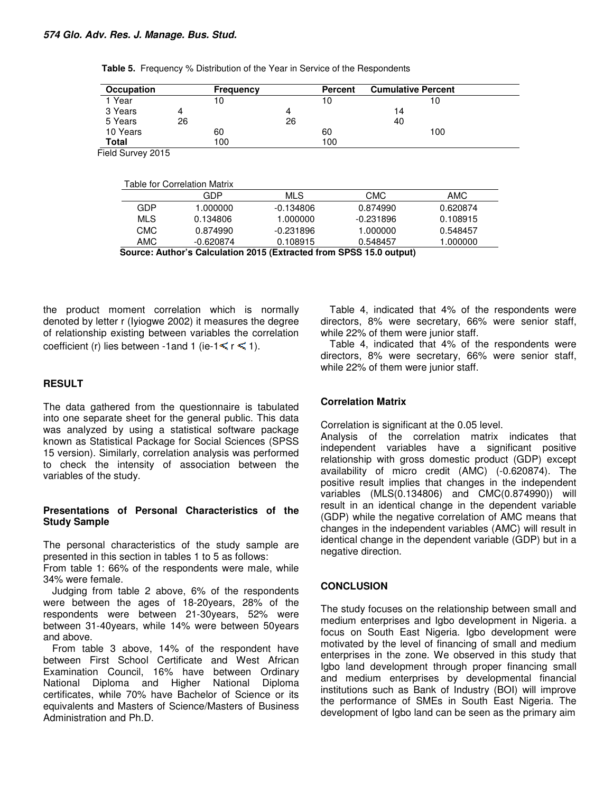| Occupation        | <b>Frequency</b>                           |             | <b>Percent</b> | <b>Cumulative Percent</b> |                        |
|-------------------|--------------------------------------------|-------------|----------------|---------------------------|------------------------|
| 1 Year            | 10                                         |             | 10             |                           | 10                     |
| 3 Years           | 4                                          | 4           |                | 14                        |                        |
| 5 Years           | 26                                         | 26          |                | 40                        |                        |
| 10 Years          | 60                                         |             | 60             |                           | 100                    |
| Total             | 100                                        |             | 100            |                           |                        |
| Field Survey 2015 |                                            |             |                |                           |                        |
|                   | <b>Table for Correlation Matrix</b><br>GDP | <b>MLS</b>  |                |                           |                        |
| <b>GDP</b>        | 1.000000                                   | $-0.134806$ |                | <b>CMC</b><br>0.874990    | <b>AMC</b><br>0.620874 |
| <b>MLS</b>        | 0.134806                                   | 1.000000    |                | $-0.231896$               | 0.108915               |
| <b>CMC</b>        | 0.874990                                   | $-0.231896$ |                | 1.000000                  | 0.548457               |

the product moment correlation which is normally denoted by letter r (Iyiogwe 2002) it measures the degree of relationship existing between variables the correlation coefficient (r) lies between -1 and 1 (ie-1 $\leq r \leq 1$ ).

#### **RESULT**

The data gathered from the questionnaire is tabulated into one separate sheet for the general public. This data was analyzed by using a statistical software package known as Statistical Package for Social Sciences (SPSS 15 version). Similarly, correlation analysis was performed to check the intensity of association between the variables of the study.

#### **Presentations of Personal Characteristics of the Study Sample**

The personal characteristics of the study sample are presented in this section in tables 1 to 5 as follows:

From table 1: 66% of the respondents were male, while 34% were female.

Judging from table 2 above, 6% of the respondents were between the ages of 18-20years, 28% of the respondents were between 21-30years, 52% were between 31-40years, while 14% were between 50years and above.

From table 3 above, 14% of the respondent have between First School Certificate and West African Examination Council, 16% have between Ordinary National Diploma and Higher National Diploma certificates, while 70% have Bachelor of Science or its equivalents and Masters of Science/Masters of Business Administration and Ph.D.

Table 4, indicated that 4% of the respondents were directors, 8% were secretary, 66% were senior staff, while 22% of them were junior staff.

Table 4, indicated that 4% of the respondents were directors, 8% were secretary, 66% were senior staff, while 22% of them were junior staff.

#### **Correlation Matrix**

Correlation is significant at the 0.05 level.

Analysis of the correlation matrix indicates that independent variables have a significant positive relationship with gross domestic product (GDP) except availability of micro credit (AMC) (-0.620874). The positive result implies that changes in the independent variables (MLS(0.134806) and CMC(0.874990)) will result in an identical change in the dependent variable (GDP) while the negative correlation of AMC means that changes in the independent variables (AMC) will result in identical change in the dependent variable (GDP) but in a negative direction.

#### **CONCLUSION**

The study focuses on the relationship between small and medium enterprises and Igbo development in Nigeria. a focus on South East Nigeria. Igbo development were motivated by the level of financing of small and medium enterprises in the zone. We observed in this study that Igbo land development through proper financing small and medium enterprises by developmental financial institutions such as Bank of Industry (BOI) will improve the performance of SMEs in South East Nigeria. The development of Igbo land can be seen as the primary aim